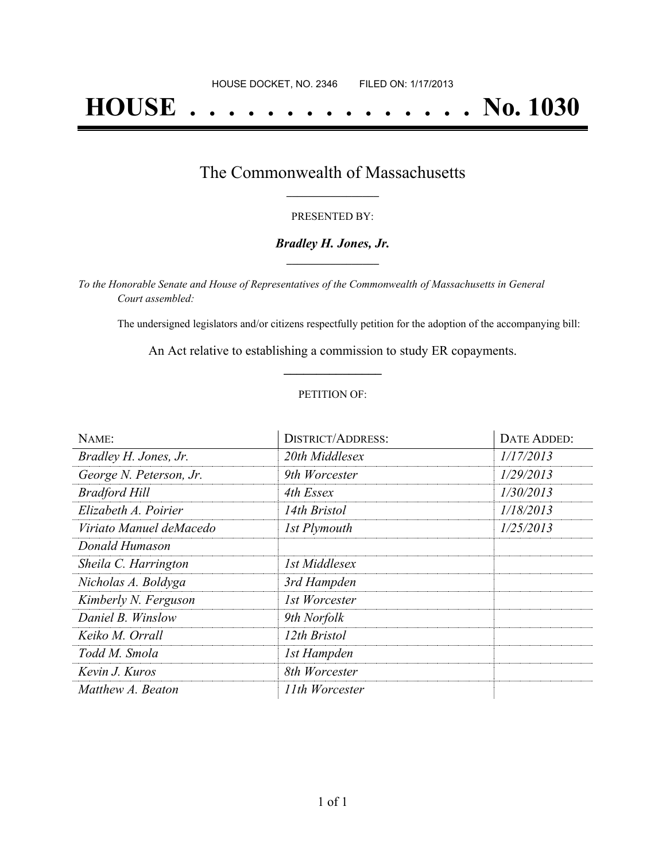# **HOUSE . . . . . . . . . . . . . . . No. 1030**

## The Commonwealth of Massachusetts **\_\_\_\_\_\_\_\_\_\_\_\_\_\_\_\_\_**

#### PRESENTED BY:

#### *Bradley H. Jones, Jr.* **\_\_\_\_\_\_\_\_\_\_\_\_\_\_\_\_\_**

*To the Honorable Senate and House of Representatives of the Commonwealth of Massachusetts in General Court assembled:*

The undersigned legislators and/or citizens respectfully petition for the adoption of the accompanying bill:

An Act relative to establishing a commission to study ER copayments. **\_\_\_\_\_\_\_\_\_\_\_\_\_\_\_**

#### PETITION OF:

| NAME:                   | <b>DISTRICT/ADDRESS:</b> | DATE ADDED: |
|-------------------------|--------------------------|-------------|
| Bradley H. Jones, Jr.   | 20th Middlesex           | 1/17/2013   |
| George N. Peterson, Jr. | 9th Worcester            | 1/29/2013   |
| <b>Bradford Hill</b>    | 4th Essex                | 1/30/2013   |
| Elizabeth A. Poirier    | 14th Bristol             | 1/18/2013   |
| Viriato Manuel deMacedo | 1st Plymouth             | 1/25/2013   |
| Donald Humason          |                          |             |
| Sheila C. Harrington    | 1st Middlesex            |             |
| Nicholas A. Boldyga     | 3rd Hampden              |             |
| Kimberly N. Ferguson    | 1st Worcester            |             |
| Daniel B. Winslow       | 9th Norfolk              |             |
| Keiko M. Orrall         | 12th Bristol             |             |
| Todd M. Smola           | 1st Hampden              |             |
| Kevin J. Kuros          | 8th Worcester            |             |
| Matthew A. Beaton       | 11th Worcester           |             |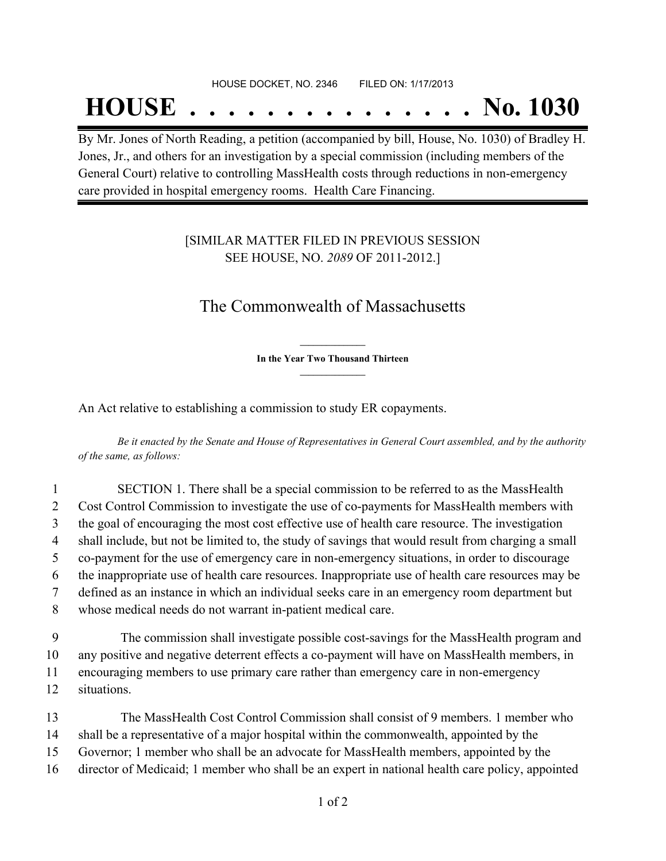#### HOUSE DOCKET, NO. 2346 FILED ON: 1/17/2013

## **HOUSE . . . . . . . . . . . . . . . No. 1030**

By Mr. Jones of North Reading, a petition (accompanied by bill, House, No. 1030) of Bradley H. Jones, Jr., and others for an investigation by a special commission (including members of the General Court) relative to controlling MassHealth costs through reductions in non-emergency care provided in hospital emergency rooms. Health Care Financing.

### [SIMILAR MATTER FILED IN PREVIOUS SESSION SEE HOUSE, NO. *2089* OF 2011-2012.]

## The Commonwealth of Massachusetts

**\_\_\_\_\_\_\_\_\_\_\_\_\_\_\_ In the Year Two Thousand Thirteen \_\_\_\_\_\_\_\_\_\_\_\_\_\_\_**

An Act relative to establishing a commission to study ER copayments.

Be it enacted by the Senate and House of Representatives in General Court assembled, and by the authority *of the same, as follows:*

|                | SECTION 1. There shall be a special commission to be referred to as the MassHealth                 |
|----------------|----------------------------------------------------------------------------------------------------|
| 2              | Cost Control Commission to investigate the use of co-payments for MassHealth members with          |
| 3              | the goal of encouraging the most cost effective use of health care resource. The investigation     |
| $\overline{4}$ | shall include, but not be limited to, the study of savings that would result from charging a small |
| 5              | co-payment for the use of emergency care in non-emergency situations, in order to discourage       |
| 6              | the inappropriate use of health care resources. Inappropriate use of health care resources may be  |
| 7              | defined as an instance in which an individual seeks care in an emergency room department but       |
| 8              | whose medical needs do not warrant in-patient medical care.                                        |
|                |                                                                                                    |

 The commission shall investigate possible cost-savings for the MassHealth program and any positive and negative deterrent effects a co-payment will have on MassHealth members, in encouraging members to use primary care rather than emergency care in non-emergency situations.

 The MassHealth Cost Control Commission shall consist of 9 members. 1 member who shall be a representative of a major hospital within the commonwealth, appointed by the Governor; 1 member who shall be an advocate for MassHealth members, appointed by the director of Medicaid; 1 member who shall be an expert in national health care policy, appointed